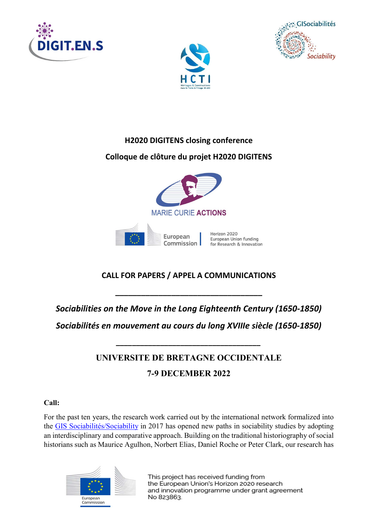





H2020 DIGITENS closing conference

# Colloque de clôture du projet H2020 DIGITENS



# CALL FOR PAPERS / APPEL A COMMUNICATIONS

Sociabilities on the Move in the Long Eighteenth Century (1650-1850)

\_\_\_\_\_\_\_\_\_\_\_\_\_\_\_\_\_\_\_\_\_\_\_\_\_\_\_\_\_\_\_\_\_\_

Sociabilités en mouvement au cours du long XVIIIe siècle (1650-1850)

\_\_\_\_\_\_\_\_\_\_\_\_\_\_\_\_\_\_\_\_\_\_\_\_\_\_\_\_\_\_\_\_\_\_\_\_

# UNIVERSITE DE BRETAGNE OCCIDENTALE 7-9 DECEMBER 2022

# Call:

For the past ten years, the research work carried out by the international network formalized into the GIS Sociabilités/Sociability in 2017 has opened new paths in sociability studies by adopting an interdisciplinary and comparative approach. Building on the traditional historiography of social historians such as Maurice Agulhon, Norbert Elias, Daniel Roche or Peter Clark, our research has

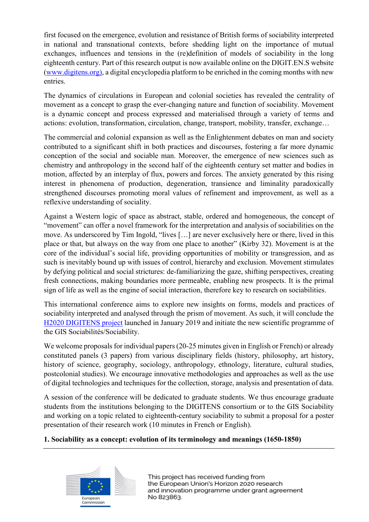first focused on the emergence, evolution and resistance of British forms of sociability interpreted in national and transnational contexts, before shedding light on the importance of mutual exchanges, influences and tensions in the (re)definition of models of sociability in the long eighteenth century. Part of this research output is now available online on the DIGIT.EN.S website (www.digitens.org), a digital encyclopedia platform to be enriched in the coming months with new entries.

The dynamics of circulations in European and colonial societies has revealed the centrality of movement as a concept to grasp the ever-changing nature and function of sociability. Movement is a dynamic concept and process expressed and materialised through a variety of terms and actions: evolution, transformation, circulation, change, transport, mobility, transfer, exchange…

The commercial and colonial expansion as well as the Enlightenment debates on man and society contributed to a significant shift in both practices and discourses, fostering a far more dynamic conception of the social and sociable man. Moreover, the emergence of new sciences such as chemistry and anthropology in the second half of the eighteenth century set matter and bodies in motion, affected by an interplay of flux, powers and forces. The anxiety generated by this rising interest in phenomena of production, degeneration, transience and liminality paradoxically strengthened discourses promoting moral values of refinement and improvement, as well as a reflexive understanding of sociality.

Against a Western logic of space as abstract, stable, ordered and homogeneous, the concept of "movement" can offer a novel framework for the interpretation and analysis of sociabilities on the move. As underscored by Tim Ingold, "lives […] are never exclusively here or there, lived in this place or that, but always on the way from one place to another" (Kirby 32). Movement is at the core of the individual's social life, providing opportunities of mobility or transgression, and as such is inevitably bound up with issues of control, hierarchy and exclusion. Movement stimulates by defying political and social strictures: de-familiarizing the gaze, shifting perspectives, creating fresh connections, making boundaries more permeable, enabling new prospects. It is the primal sign of life as well as the engine of social interaction, therefore key to research on sociabilities.

This international conference aims to explore new insights on forms, models and practices of sociability interpreted and analysed through the prism of movement. As such, it will conclude the H2020 DIGITENS project launched in January 2019 and initiate the new scientific programme of the GIS Sociabilités/Sociability.

We welcome proposals for individual papers (20-25 minutes given in English or French) or already constituted panels (3 papers) from various disciplinary fields (history, philosophy, art history, history of science, geography, sociology, anthropology, ethnology, literature, cultural studies, postcolonial studies). We encourage innovative methodologies and approaches as well as the use of digital technologies and techniques for the collection, storage, analysis and presentation of data.

A session of the conference will be dedicated to graduate students. We thus encourage graduate students from the institutions belonging to the DIGITENS consortium or to the GIS Sociability and working on a topic related to eighteenth-century sociability to submit a proposal for a poster presentation of their research work (10 minutes in French or English).

# 1. Sociability as a concept: evolution of its terminology and meanings (1650-1850)

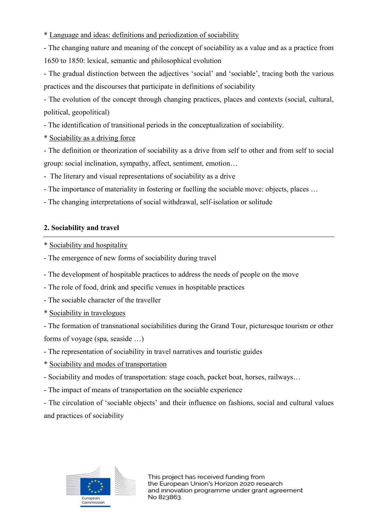\* Language and ideas: definitions and periodization of sociability

- The changing nature and meaning of the concept of sociability as a value and as a practice from 1650 to 1850: lexical, semantic and philosophical evolution

- The gradual distinction between the adjectives 'social' and 'sociable', tracing both the various practices and the discourses that participate in definitions of sociability

- The evolution of the concept through changing practices, places and contexts (social, cultural, political, geopolitical)

- The identification of transitional periods in the conceptualization of sociability.

\* Sociability as a driving force

- The definition or theorization of sociability as a drive from self to other and from self to social group: social inclination, sympathy, affect, sentiment, emotion…

- The literary and visual representations of sociability as a drive

- The importance of materiality in fostering or fuelling the sociable move: objects, places …

- The changing interpretations of social withdrawal, self-isolation or solitude

# 2. Sociability and travel

\* Sociability and hospitality

- The emergence of new forms of sociability during travel

- The development of hospitable practices to address the needs of people on the move

- The role of food, drink and specific venues in hospitable practices

- The sociable character of the traveller

\* Sociability in travelogues

- The formation of transnational sociabilities during the Grand Tour, picturesque tourism or other forms of voyage (spa, seaside …)

- The representation of sociability in travel narratives and touristic guides

\* Sociability and modes of transportation

- Sociability and modes of transportation: stage coach, packet boat, horses, railways…

- The impact of means of transportation on the sociable experience

- The circulation of 'sociable objects' and their influence on fashions, social and cultural values and practices of sociability

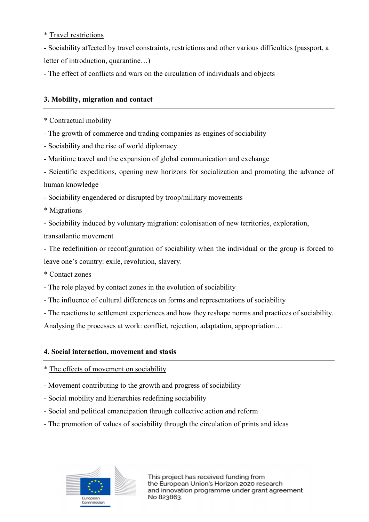\* Travel restrictions

- Sociability affected by travel constraints, restrictions and other various difficulties (passport, a letter of introduction, quarantine…)

- The effect of conflicts and wars on the circulation of individuals and objects

# 3. Mobility, migration and contact

#### \* Contractual mobility

- The growth of commerce and trading companies as engines of sociability
- Sociability and the rise of world diplomacy
- Maritime travel and the expansion of global communication and exchange

- Scientific expeditions, opening new horizons for socialization and promoting the advance of human knowledge

- Sociability engendered or disrupted by troop/military movements

- \* Migrations
- Sociability induced by voluntary migration: colonisation of new territories, exploration,

transatlantic movement

- The redefinition or reconfiguration of sociability when the individual or the group is forced to leave one's country: exile, revolution, slavery.

- \* Contact zones
- The role played by contact zones in the evolution of sociability
- The influence of cultural differences on forms and representations of sociability
- The reactions to settlement experiences and how they reshape norms and practices of sociability.

Analysing the processes at work: conflict, rejection, adaptation, appropriation…

## 4. Social interaction, movement and stasis

- \* The effects of movement on sociability
- Movement contributing to the growth and progress of sociability
- Social mobility and hierarchies redefining sociability
- Social and political emancipation through collective action and reform
- The promotion of values of sociability through the circulation of prints and ideas

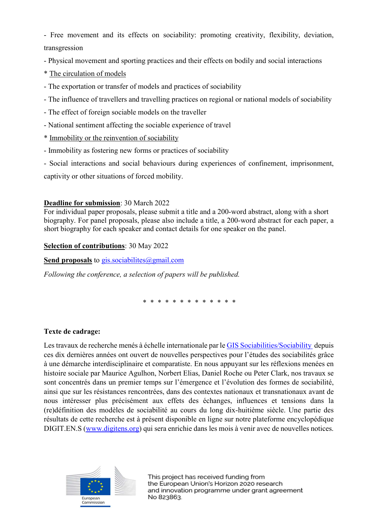- Free movement and its effects on sociability: promoting creativity, flexibility, deviation, transgression

- Physical movement and sporting practices and their effects on bodily and social interactions
- \* The circulation of models
- The exportation or transfer of models and practices of sociability
- The influence of travellers and travelling practices on regional or national models of sociability
- The effect of foreign sociable models on the traveller
- National sentiment affecting the sociable experience of travel
- \* Immobility or the reinvention of sociability
- Immobility as fostering new forms or practices of sociability

- Social interactions and social behaviours during experiences of confinement, imprisonment,

captivity or other situations of forced mobility.

## Deadline for submission: 30 March 2022

For individual paper proposals, please submit a title and a 200-word abstract, along with a short biography. For panel proposals, please also include a title, a 200-word abstract for each paper, a short biography for each speaker and contact details for one speaker on the panel.

## Selection of contributions: 30 May 2022

Send proposals to gis.sociabilites@gmail.com

Following the conference, a selection of papers will be published.

\* \* \* \* \* \* \* \* \* \* \* \* \*

## Texte de cadrage:

Les travaux de recherche menés à échelle internationale par le GIS Sociabilities/Sociability depuis ces dix dernières années ont ouvert de nouvelles perspectives pour l'études des sociabilités grâce à une démarche interdisciplinaire et comparatiste. En nous appuyant sur les réflexions menées en histoire sociale par Maurice Agulhon, Norbert Elias, Daniel Roche ou Peter Clark, nos travaux se sont concentrés dans un premier temps sur l'émergence et l'évolution des formes de sociabilité, ainsi que sur les résistances rencontrées, dans des contextes nationaux et transnationaux avant de nous intéresser plus précisément aux effets des échanges, influences et tensions dans la (re)définition des modèles de sociabilité au cours du long dix-huitième siècle. Une partie des résultats de cette recherche est à présent disponible en ligne sur notre plateforme encyclopédique DIGIT.EN.S (www.digitens.org) qui sera enrichie dans les mois à venir avec de nouvelles notices.

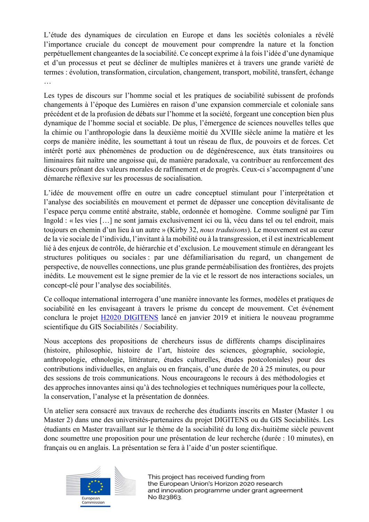L'étude des dynamiques de circulation en Europe et dans les sociétés coloniales a révélé l'importance cruciale du concept de mouvement pour comprendre la nature et la fonction perpétuellement changeantes de la sociabilité. Ce concept exprime à la fois l'idée d'une dynamique et d'un processus et peut se décliner de multiples manières et à travers une grande variété de termes : évolution, transformation, circulation, changement, transport, mobilité, transfert, échange …

Les types de discours sur l'homme social et les pratiques de sociabilité subissent de profonds changements à l'époque des Lumières en raison d'une expansion commerciale et coloniale sans précédent et de la profusion de débats sur l'homme et la société, forgeant une conception bien plus dynamique de l'homme social et sociable. De plus, l'émergence de sciences nouvelles telles que la chimie ou l'anthropologie dans la deuxième moitié du XVIIIe siècle anime la matière et les corps de manière inédite, les soumettant à tout un réseau de flux, de pouvoirs et de forces. Cet intérêt porté aux phénomènes de production ou de dégénérescence, aux états transitoires ou liminaires fait naître une angoisse qui, de manière paradoxale, va contribuer au renforcement des discours prônant des valeurs morales de raffinement et de progrès. Ceux-ci s'accompagnent d'une démarche réflexive sur les processus de socialisation.

L'idée de mouvement offre en outre un cadre conceptuel stimulant pour l'interprétation et l'analyse des sociabilités en mouvement et permet de dépasser une conception dévitalisante de l'espace perçu comme entité abstraite, stable, ordonnée et homogène. Comme souligné par Tim Ingold : « les vies […] ne sont jamais exclusivement ici ou là, vécu dans tel ou tel endroit, mais toujours en chemin d'un lieu à un autre » (Kirby 32, nous traduisons). Le mouvement est au cœur de la vie sociale de l'individu, l'invitant à la mobilité ou à la transgression, et il est inextricablement lié à des enjeux de contrôle, de hiérarchie et d'exclusion. Le mouvement stimule en dérangeant les structures politiques ou sociales : par une défamiliarisation du regard, un changement de perspective, de nouvelles connections, une plus grande perméabilisation des frontières, des projets inédits. Le mouvement est le signe premier de la vie et le ressort de nos interactions sociales, un concept-clé pour l'analyse des sociabilités.

Ce colloque international interrogera d'une manière innovante les formes, modèles et pratiques de sociabilité en les envisageant à travers le prisme du concept de mouvement. Cet événement conclura le projet H2020 DIGITENS lancé en janvier 2019 et initiera le nouveau programme scientifique du GIS Sociabilités / Sociability.

Nous acceptons des propositions de chercheurs issus de différents champs disciplinaires (histoire, philosophie, histoire de l'art, histoire des sciences, géographie, sociologie, anthropologie, ethnologie, littérature, études culturelles, études postcoloniales) pour des contributions individuelles, en anglais ou en français, d'une durée de 20 à 25 minutes, ou pour des sessions de trois communications. Nous encourageons le recours à des méthodologies et des approches innovantes ainsi qu'à des technologies et techniques numériques pour la collecte, la conservation, l'analyse et la présentation de données.

Un atelier sera consacré aux travaux de recherche des étudiants inscrits en Master (Master 1 ou Master 2) dans une des universités-partenaires du projet DIGITENS ou du GIS Sociabilités. Les étudiants en Master travaillant sur le thème de la sociabilité du long dix-huitième siècle peuvent donc soumettre une proposition pour une présentation de leur recherche (durée : 10 minutes), en français ou en anglais. La présentation se fera à l'aide d'un poster scientifique.

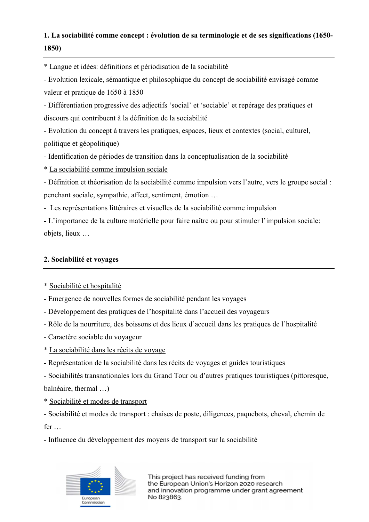# 1. La sociabilité comme concept : évolution de sa terminologie et de ses significations (1650- 1850)

\* Langue et idées: définitions et périodisation de la sociabilité

- Evolution lexicale, sémantique et philosophique du concept de sociabilité envisagé comme valeur et pratique de 1650 à 1850

- Différentiation progressive des adjectifs 'social' et 'sociable' et repérage des pratiques et discours qui contribuent à la définition de la sociabilité

- Evolution du concept à travers les pratiques, espaces, lieux et contextes (social, culturel, politique et géopolitique)

- Identification de périodes de transition dans la conceptualisation de la sociabilité

\* La sociabilité comme impulsion sociale

- Définition et théorisation de la sociabilité comme impulsion vers l'autre, vers le groupe social : penchant sociale, sympathie, affect, sentiment, émotion …

- Les représentations littéraires et visuelles de la sociabilité comme impulsion

- L'importance de la culture matérielle pour faire naître ou pour stimuler l'impulsion sociale: objets, lieux …

# 2. Sociabilité et voyages

- \* Sociabilité et hospitalité
- Emergence de nouvelles formes de sociabilité pendant les voyages
- Développement des pratiques de l'hospitalité dans l'accueil des voyageurs
- Rôle de la nourriture, des boissons et des lieux d'accueil dans les pratiques de l'hospitalité
- Caractère sociable du voyageur
- \* La sociabilité dans les récits de voyage
- Représentation de la sociabilité dans les récits de voyages et guides touristiques
- Sociabilités transnationales lors du Grand Tour ou d'autres pratiques touristiques (pittoresque,

balnéaire, thermal …)

\* Sociabilité et modes de transport

- Sociabilité et modes de transport : chaises de poste, diligences, paquebots, cheval, chemin de fer …

- Influence du développement des moyens de transport sur la sociabilité

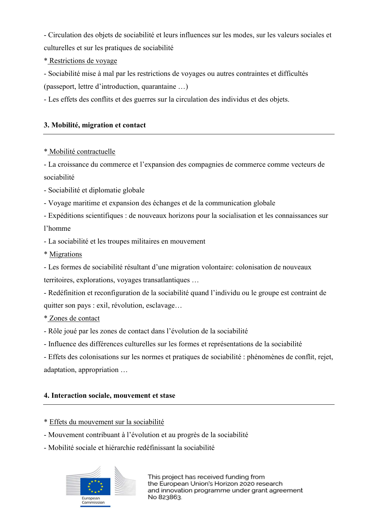- Circulation des objets de sociabilité et leurs influences sur les modes, sur les valeurs sociales et culturelles et sur les pratiques de sociabilité

\* Restrictions de voyage

- Sociabilité mise à mal par les restrictions de voyages ou autres contraintes et difficultés (passeport, lettre d'introduction, quarantaine …)

- Les effets des conflits et des guerres sur la circulation des individus et des objets.

# 3. Mobilité, migration et contact

## \* Mobilité contractuelle

- La croissance du commerce et l'expansion des compagnies de commerce comme vecteurs de sociabilité

- Sociabilité et diplomatie globale
- Voyage maritime et expansion des échanges et de la communication globale
- Expéditions scientifiques : de nouveaux horizons pour la socialisation et les connaissances sur

# l'homme

- La sociabilité et les troupes militaires en mouvement
- \* Migrations

- Les formes de sociabilité résultant d'une migration volontaire: colonisation de nouveaux territoires, explorations, voyages transatlantiques …

- Redéfinition et reconfiguration de la sociabilité quand l'individu ou le groupe est contraint de quitter son pays : exil, révolution, esclavage…

## \* Zones de contact

- Rôle joué par les zones de contact dans l'évolution de la sociabilité
- Influence des différences culturelles sur les formes et représentations de la sociabilité

- Effets des colonisations sur les normes et pratiques de sociabilité : phénomènes de conflit, rejet, adaptation, appropriation …

## 4. Interaction sociale, mouvement et stase

- \* Effets du mouvement sur la sociabilité
- Mouvement contribuant à l'évolution et au progrès de la sociabilité
- Mobilité sociale et hiérarchie redéfinissant la sociabilité

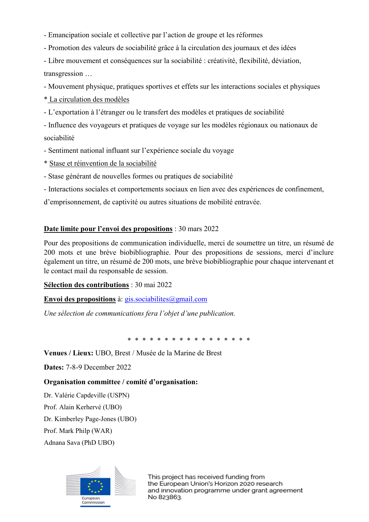- Emancipation sociale et collective par l'action de groupe et les réformes
- Promotion des valeurs de sociabilité grâce à la circulation des journaux et des idées
- Libre mouvement et conséquences sur la sociabilité : créativité, flexibilité, déviation, transgression …

- Mouvement physique, pratiques sportives et effets sur les interactions sociales et physiques

\* La circulation des modèles

- L'exportation à l'étranger ou le transfert des modèles et pratiques de sociabilité

- Influence des voyageurs et pratiques de voyage sur les modèles régionaux ou nationaux de sociabilité

- Sentiment national influant sur l'expérience sociale du voyage
- \* Stase et réinvention de la sociabilité
- Stase générant de nouvelles formes ou pratiques de sociabilité
- Interactions sociales et comportements sociaux en lien avec des expériences de confinement,

d'emprisonnement, de captivité ou autres situations de mobilité entravée.

# Date limite pour l'envoi des propositions : 30 mars 2022

Pour des propositions de communication individuelle, merci de soumettre un titre, un résumé de 200 mots et une brève biobibliographie. Pour des propositions de sessions, merci d'inclure également un titre, un résumé de 200 mots, une brève biobibliographie pour chaque intervenant et le contact mail du responsable de session.

## Sélection des contributions : 30 mai 2022

Envoi des propositions à: gis.sociabilites  $\omega$ gmail.com

Une sélection de communications fera l'objet d'une publication.

\* \* \* \* \* \* \* \* \* \* \* \* \* \* \* \* \*

Venues / Lieux: UBO, Brest / Musée de la Marine de Brest

Dates: 7-8-9 December 2022

## Organisation committee / comité d'organisation:

Dr. Valérie Capdeville (USPN)

Prof. Alain Kerhervé (UBO)

Dr. Kimberley Page-Jones (UBO)

Prof. Mark Philp (WAR)

Adnana Sava (PhD UBO)

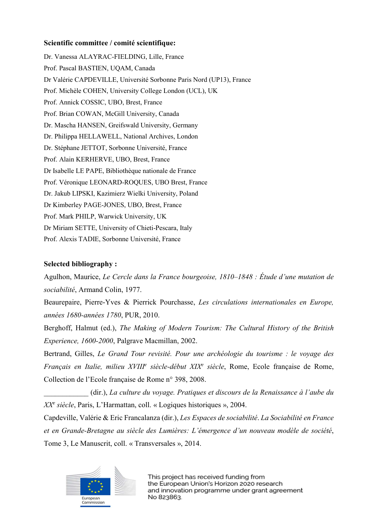#### Scientific committee / comité scientifique:

Dr. Vanessa ALAYRAC-FIELDING, Lille, France Prof. Pascal BASTIEN, UQAM, Canada Dr Valérie CAPDEVILLE, Université Sorbonne Paris Nord (UP13), France Prof. Michèle COHEN, University College London (UCL), UK Prof. Annick COSSIC, UBO, Brest, France Prof. Brian COWAN, McGill University, Canada Dr. Mascha HANSEN, Greifswald University, Germany Dr. Philippa HELLAWELL, National Archives, London Dr. Stéphane JETTOT, Sorbonne Université, France Prof. Alain KERHERVE, UBO, Brest, France Dr Isabelle LE PAPE, Bibliothèque nationale de France Prof. Véronique LEONARD-ROQUES, UBO Brest, France Dr. Jakub LIPSKI, Kazimierz Wielki University, Poland Dr Kimberley PAGE-JONES, UBO, Brest, France Prof. Mark PHILP, Warwick University, UK Dr Miriam SETTE, University of Chieti-Pescara, Italy Prof. Alexis TADIE, Sorbonne Université, France

# Selected bibliography :

Agulhon, Maurice, Le Cercle dans la France bourgeoise, 1810–1848 : Étude d'une mutation de sociabilité, Armand Colin, 1977.

Beaurepaire, Pierre-Yves & Pierrick Pourchasse, Les circulations internationales en Europe, années 1680-années 1780, PUR, 2010.

Berghoff, Halmut (ed.), The Making of Modern Tourism: The Cultural History of the British Experience, 1600-2000, Palgrave Macmillan, 2002.

Bertrand, Gilles, Le Grand Tour revisité. Pour une archéologie du tourisme : le voyage des Français en Italie, milieu XVIII<sup>e</sup> siècle-début XIX<sup>e</sup> siècle, Rome, Ecole française de Rome, Collection de l'Ecole française de Rome n° 398, 2008.

\_\_\_\_\_\_\_\_\_\_\_\_ (dir.), La culture du voyage. Pratiques et discours de la Renaissance à l'aube du XX<sup>e</sup> siècle, Paris, L'Harmattan, coll. « Logiques historiques », 2004.

Capdeville, Valérie & Eric Francalanza (dir.), Les Espaces de sociabilité. La Sociabilité en France et en Grande-Bretagne au siècle des Lumières: L'émergence d'un nouveau modèle de société, Tome 3, Le Manuscrit, coll. « Transversales », 2014.

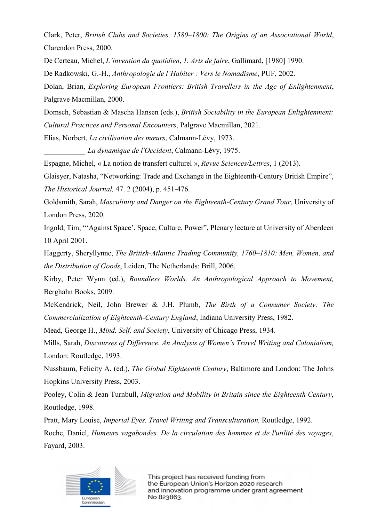Clark, Peter, British Clubs and Societies, 1580–1800: The Origins of an Associational World, Clarendon Press, 2000.

De Certeau, Michel, L'invention du quotidien, 1. Arts de faire, Gallimard, [1980] 1990.

De Radkowski, G.-H., Anthropologie de l'Habiter : Vers le Nomadisme, PUF, 2002.

Dolan, Brian, Exploring European Frontiers: British Travellers in the Age of Enlightenment, Palgrave Macmillan, 2000.

Domsch, Sebastian & Mascha Hansen (eds.), British Sociability in the European Enlightenment: Cultural Practices and Personal Encounters, Palgrave Macmillan, 2021.

Elias, Norbert, La civilisation des mœurs, Calmann-Lévy, 1973.

La dynamique de l'Occident, Calmann-Lévy, 1975.

Espagne, Michel, « La notion de transfert culturel », Revue Sciences/Lettres, 1 (2013).

Glaisyer, Natasha, "Networking: Trade and Exchange in the Eighteenth-Century British Empire", The Historical Journal, 47. 2 (2004), p. 451-476.

Goldsmith, Sarah, Masculinity and Danger on the Eighteenth-Century Grand Tour, University of London Press, 2020.

Ingold, Tim, "'Against Space'. Space, Culture, Power", Plenary lecture at University of Aberdeen 10 April 2001.

Haggerty, Sheryllynne, The British-Atlantic Trading Community, 1760–1810: Men, Women, and the Distribution of Goods, Leiden, The Netherlands: Brill, 2006.

Kirby, Peter Wynn (ed.), Boundless Worlds. An Anthropological Approach to Movement, Berghahn Books, 2009.

McKendrick, Neil, John Brewer & J.H. Plumb, The Birth of a Consumer Society: The Commercialization of Eighteenth-Century England, Indiana University Press, 1982.

Mead, George H., Mind, Self, and Society, University of Chicago Press, 1934.

Mills, Sarah, Discourses of Difference. An Analysis of Women's Travel Writing and Colonialism, London: Routledge, 1993.

Nussbaum, Felicity A. (ed.), The Global Eighteenth Century, Baltimore and London: The Johns Hopkins University Press, 2003.

Pooley, Colin & Jean Turnbull, Migration and Mobility in Britain since the Eighteenth Century, Routledge, 1998.

Pratt, Mary Louise, Imperial Eyes. Travel Writing and Transculturation, Routledge, 1992.

Roche, Daniel, Humeurs vagabondes. De la circulation des hommes et de l'utilité des voyages, Fayard, 2003.